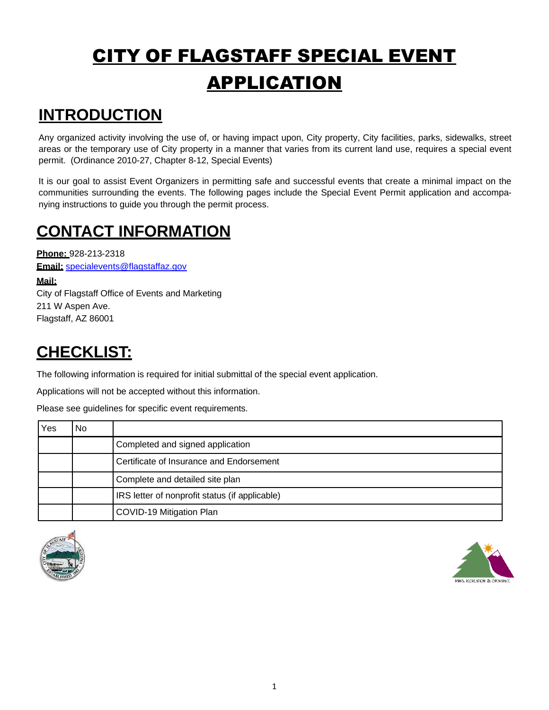# CITY OF FLAGSTAFF SPECIAL EVENT APPLICATION

### **INTRODUCTION**

Any organized activity involving the use of, or having impact upon, City property, City facilities, parks, sidewalks, street areas or the temporary use of City property in a manner that varies from its current land use, requires a special event permit. (Ordinance 2010-27, Chapter 8-12, Special Events)

It is our goal to assist Event Organizers in permitting safe and successful events that create a minimal impact on the communities surrounding the events. The following pages include the Special Event Permit application and accompanying instructions to guide you through the permit process.

## **CONTACT INFORMATION**

**Phone:** 928-213-2318 **Email:** [specialevents@flagstaffaz.gov](mailto:specialevents@flagstaffaz.gov)

**Mail:**

City of Flagstaff Office of Events and Marketing 211 W Aspen Ave. Flagstaff, AZ 86001

### **CHECKLIST:**

The following information is required for initial submittal of the special event application.

Applications will not be accepted without this information.

Please see guidelines for specific event requirements.

| Yes | No |                                                |
|-----|----|------------------------------------------------|
|     |    | Completed and signed application               |
|     |    | Certificate of Insurance and Endorsement       |
|     |    | Complete and detailed site plan                |
|     |    | IRS letter of nonprofit status (if applicable) |
|     |    | COVID-19 Mitigation Plan                       |



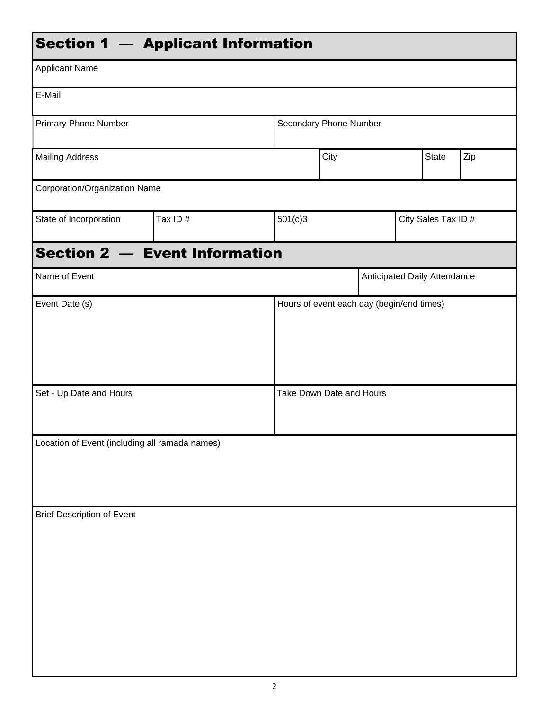|                                                | <b>Section 1 - Applicant Information</b> |                                           |      |  |                     |              |     |
|------------------------------------------------|------------------------------------------|-------------------------------------------|------|--|---------------------|--------------|-----|
| <b>Applicant Name</b>                          |                                          |                                           |      |  |                     |              |     |
| E-Mail                                         |                                          |                                           |      |  |                     |              |     |
| <b>Primary Phone Number</b>                    |                                          | Secondary Phone Number                    |      |  |                     |              |     |
| <b>Mailing Address</b>                         |                                          |                                           | City |  |                     | <b>State</b> | Zip |
| Corporation/Organization Name                  |                                          |                                           |      |  |                     |              |     |
| State of Incorporation                         | Tax ID#                                  | 501(c)3                                   |      |  | City Sales Tax ID # |              |     |
|                                                | <b>Section 2 - Event Information</b>     |                                           |      |  |                     |              |     |
| Name of Event                                  |                                          | Anticipated Daily Attendance              |      |  |                     |              |     |
| Event Date (s)                                 |                                          | Hours of event each day (begin/end times) |      |  |                     |              |     |
| Set - Up Date and Hours                        |                                          | Take Down Date and Hours                  |      |  |                     |              |     |
| Location of Event (including all ramada names) |                                          |                                           |      |  |                     |              |     |
| <b>Brief Description of Event</b>              |                                          |                                           |      |  |                     |              |     |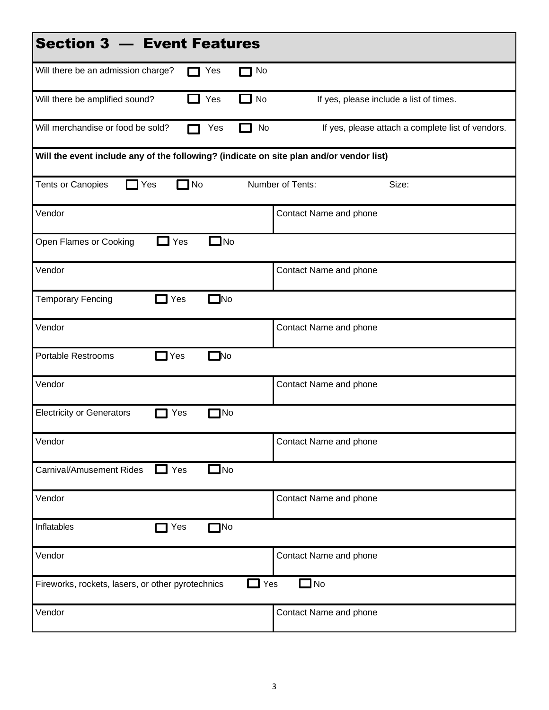| <b>Section 3 - Event Features</b>                                                       |                                                         |
|-----------------------------------------------------------------------------------------|---------------------------------------------------------|
| Will there be an admission charge?<br>Yes                                               | No                                                      |
| ┓<br>Will there be amplified sound?<br>Yes                                              | No<br>If yes, please include a list of times.           |
| Will merchandise or food be sold?<br>Yes<br>$\sim$<br>$\Box$                            | No<br>If yes, please attach a complete list of vendors. |
| Will the event include any of the following? (indicate on site plan and/or vendor list) |                                                         |
| $\Box$ No<br><b>Tents or Canopies</b><br>Yes                                            | Number of Tents:<br>Size:                               |
| Vendor                                                                                  | Contact Name and phone                                  |
| $\Box$ No<br>Yes<br>Open Flames or Cooking                                              |                                                         |
| Vendor                                                                                  | Contact Name and phone                                  |
| $\Box$ No<br>Yes<br><b>Temporary Fencing</b><br><b>Contract</b>                         |                                                         |
| Vendor                                                                                  | Contact Name and phone                                  |
| <b>Portable Restrooms</b><br>$\Box$ Yes<br>$\Box$ No                                    |                                                         |
| Vendor                                                                                  | Contact Name and phone                                  |
| No<br><b>Electricity or Generators</b><br>Yes                                           |                                                         |
| Vendor                                                                                  | Contact Name and phone                                  |
| $\square$ No<br>$\Box$ Yes<br><b>Carnival/Amusement Rides</b>                           |                                                         |
| Vendor                                                                                  | Contact Name and phone                                  |
| Inflatables<br>$\Box$ No<br>$\Box$ Yes                                                  |                                                         |
| Vendor                                                                                  | Contact Name and phone                                  |
| Fireworks, rockets, lasers, or other pyrotechnics<br>n.                                 | $\Box$ No<br>Yes                                        |
| Vendor                                                                                  | Contact Name and phone                                  |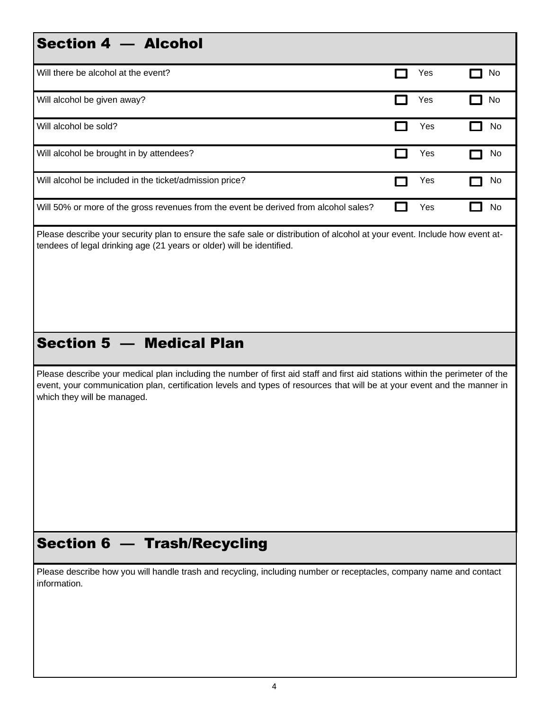#### Section 4 - Alcohol

| Will there be alcohol at the event?                                                  | Yes | No. |
|--------------------------------------------------------------------------------------|-----|-----|
| Will alcohol be given away?                                                          | Yes | No. |
| Will alcohol be sold?                                                                | Yes | No  |
| Will alcohol be brought in by attendees?                                             | Yes | No  |
| Will alcohol be included in the ticket/admission price?                              | Yes | No  |
| Will 50% or more of the gross revenues from the event be derived from alcohol sales? | Yes | No  |

Please describe your security plan to ensure the safe sale or distribution of alcohol at your event. Include how event attendees of legal drinking age (21 years or older) will be identified.

#### Section 5 — Medical Plan

Please describe your medical plan including the number of first aid staff and first aid stations within the perimeter of the event, your communication plan, certification levels and types of resources that will be at your event and the manner in which they will be managed.

#### Section 6 — Trash/Recycling

Please describe how you will handle trash and recycling, including number or receptacles, company name and contact information.